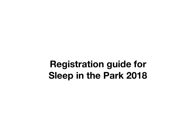# **Registration guide for Sleep in the Park 2018**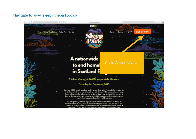#### Navigate to [www.sleepinthepark.co.uk](http://www.sleepinthepark.co.uk)

 $>$   $m$ 

 $* 8$ 



A nationwide to end home in Scotland f

#### 4 Cities. One night. 12,000 people under the stars.

is almost throw tucsuk SOZEK

Click 'Sign Up Now'

ö.

Donate

(5) (4)

**SIGN UP NOW** 

#### Saturday 8th December, 2018

Lest year 8,000 people joined the world's largest sleep out in Princes St Gardens to raise<br>Ed Alillion and call for an end to homelessness in Scotland. This has caused a sea change in the fight against homoloscness and funded a raft of major projects. Now we want to keep up the momentum and we are asking 12,000 people across 4 cities to join us in a nationwide sleep out on Saturday 8th of December.

By raising money and working together we can accelerate the poop of change in Scotlend and create the political mendate to and homelessness here. We want to make Scotland an example for the whole world to follow. We're a small country. A nation of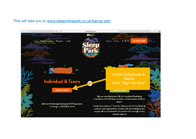### This will take you to [www.sleepinthepark.co.uk/taking-part](http://www.sleepinthepark.co.uk/taking-part)

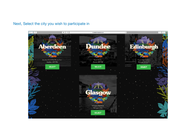# Next, Select the city you wish to participate in

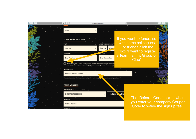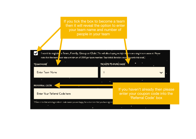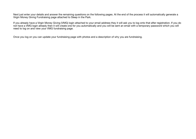Next just enter your details and answer the remaining questions on the following pages. At the end of the process it will automatically generate a Virgin Money Giving Fundraising page attached to Sleep in the Park.

If you already have a Virgin Money Giving (VMG) login attached to your email address they it will ask you to log onto that after registration. If you do not have a VMG login already then it will create one for you automatically and you will be sent an email with a temporary password which you will need to log on and view your VMG fundraising page.

Once you log on you can update your fundraising page with photos and a description of why you are fundraising.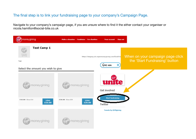# The final step is to link your fundraising page to your company's Campaign Page.

Navigate to your company's campaign page, if you are unsure where to find it the either contact your organiser or nicola.hamilton@social-bite.co.uk

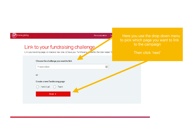| noneygising<br>Link to your fundraising challenge<br>Link your existing page, or create a new one, to have your fundraising. Lied to the total raised fo | Here you use the drop down menu<br>Make a donation<br>to pick which page you want to link<br>to the campaign<br>Then click 'next' |
|----------------------------------------------------------------------------------------------------------------------------------------------------------|-----------------------------------------------------------------------------------------------------------------------------------|
| Choose the challenge you want to link<br>Please select<br>or<br>Create a new fundraising page<br>Individual<br>Team<br>Next >                            | V.                                                                                                                                |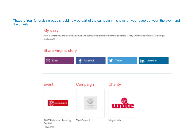#### That's it! Your fundraising page should now be part of the campaign! It shows on your page between the event and the charity

# My story

Here is where you should add a compelling story (People tend to be more generous if they understand why you're doing a challenge!)

# Share Virgin's story

| Email                                            | Facebook        | Twitter      | in<br>Linked In |
|--------------------------------------------------|-----------------|--------------|-----------------|
| Event                                            | Campaign        | Charity      |                 |
| moneygiving                                      | money<br>giving | unite        |                 |
| 2017 Richmond Running<br>Festival<br>16 Feb 2018 | Test Camp 1     | Virgin Unite |                 |